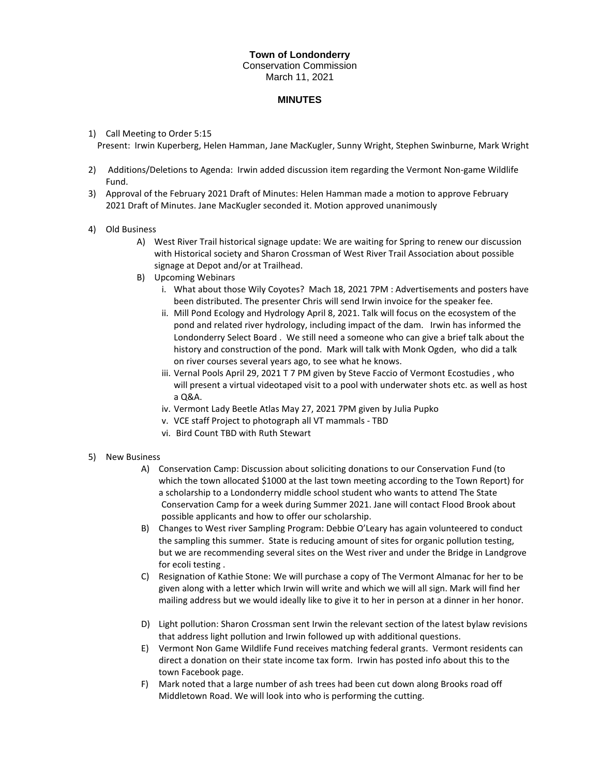## **Town of Londonderry**  Conservation Commission March 11, 2021

## **MINUTES**

## 1) Call Meeting to Order 5:15

Present: Irwin Kuperberg, Helen Hamman, Jane MacKugler, Sunny Wright, Stephen Swinburne, Mark Wright

- 2) Additions/Deletions to Agenda: Irwin added discussion item regarding the Vermont Non-game Wildlife Fund.
- 3) Approval of the February 2021 Draft of Minutes: Helen Hamman made a motion to approve February 2021 Draft of Minutes. Jane MacKugler seconded it. Motion approved unanimously
- 4) Old Business
	- A) West River Trail historical signage update: We are waiting for Spring to renew our discussion with Historical society and Sharon Crossman of West River Trail Association about possible signage at Depot and/or at Trailhead.
	- B) Upcoming Webinars
		- i. What about those Wily Coyotes? Mach 18, 2021 7PM : Advertisements and posters have been distributed. The presenter Chris will send Irwin invoice for the speaker fee.
		- ii. Mill Pond Ecology and Hydrology April 8, 2021. Talk will focus on the ecosystem of the pond and related river hydrology, including impact of the dam. Irwin has informed the Londonderry Select Board . We still need a someone who can give a brief talk about the history and construction of the pond. Mark will talk with Monk Ogden, who did a talk on river courses several years ago, to see what he knows.
		- iii. Vernal Pools April 29, 2021 T 7 PM given by Steve Faccio of Vermont Ecostudies , who will present a virtual videotaped visit to a pool with underwater shots etc. as well as host a Q&A.
		- iv. Vermont Lady Beetle Atlas May 27, 2021 7PM given by Julia Pupko
		- v. VCE staff Project to photograph all VT mammals TBD
		- vi. Bird Count TBD with Ruth Stewart

## 5) New Business

- A) Conservation Camp: Discussion about soliciting donations to our Conservation Fund (to which the town allocated \$1000 at the last town meeting according to the Town Report) for a scholarship to a Londonderry middle school student who wants to attend The State Conservation Camp for a week during Summer 2021. Jane will contact Flood Brook about possible applicants and how to offer our scholarship.
- B) Changes to West river Sampling Program: Debbie O'Leary has again volunteered to conduct the sampling this summer. State is reducing amount of sites for organic pollution testing, but we are recommending several sites on the West river and under the Bridge in Landgrove for ecoli testing .
- C) Resignation of Kathie Stone: We will purchase a copy of The Vermont Almanac for her to be given along with a letter which Irwin will write and which we will all sign. Mark will find her mailing address but we would ideally like to give it to her in person at a dinner in her honor.
- D) Light pollution: Sharon Crossman sent Irwin the relevant section of the latest bylaw revisions that address light pollution and Irwin followed up with additional questions.
- E) Vermont Non Game Wildlife Fund receives matching federal grants. Vermont residents can direct a donation on their state income tax form. Irwin has posted info about this to the town Facebook page.
- F) Mark noted that a large number of ash trees had been cut down along Brooks road off Middletown Road. We will look into who is performing the cutting.